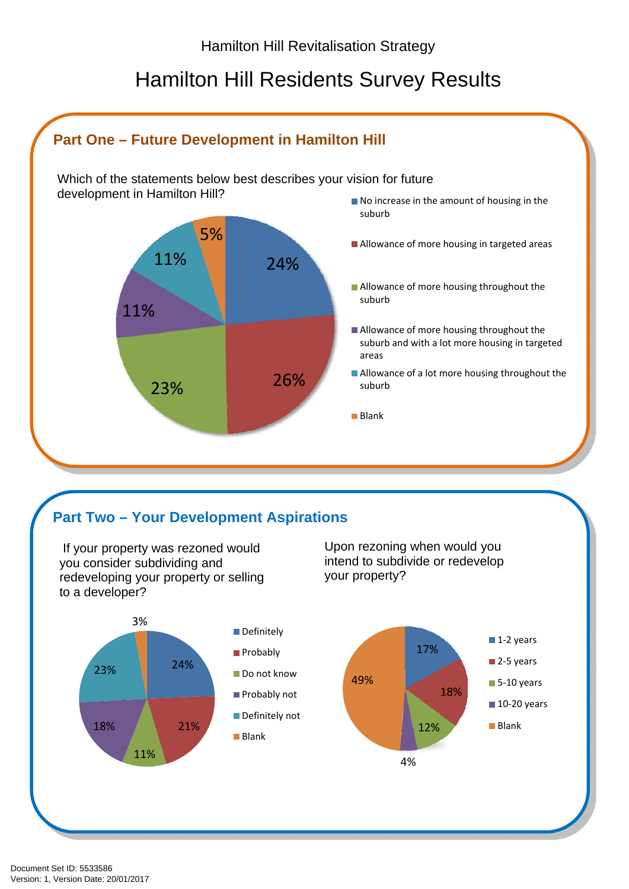# Hamilton Hill Residents Survey Results



## **Part Two – Your Development Aspirations**

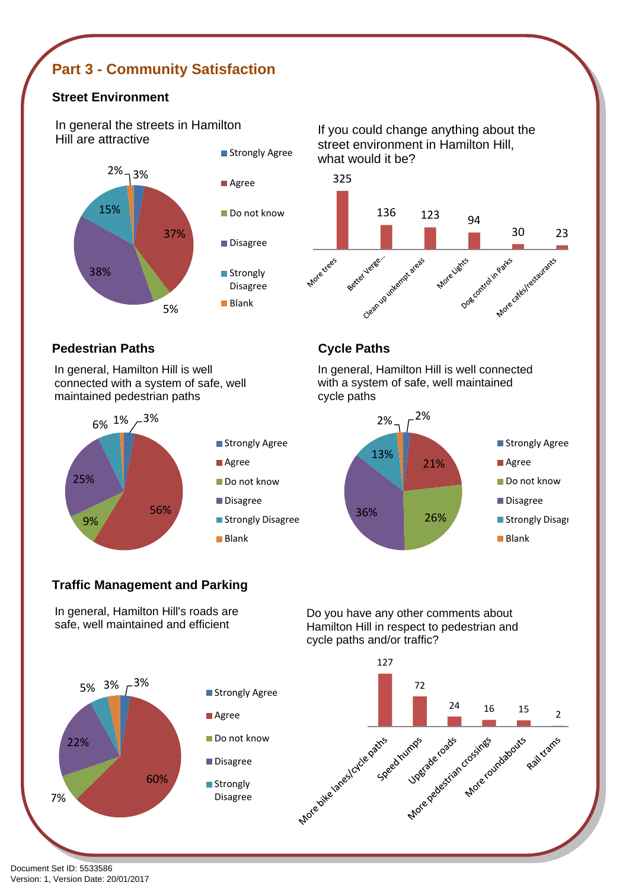## **Part 3 - Community Satisfaction**

### **Street Environment**

In general the streets in Hamilton Hill are attractive



If you could change anything about the street environment in Hamilton Hill, what would it be?



### **Pedestrian Paths Cycle Paths**

In general, Hamilton Hill is well connected with a system of safe, well maintained pedestrian paths



In general, Hamilton Hill is well connected with a system of safe, well maintained cycle paths



### **Traffic Management and Parking**

In general, Hamilton Hill's roads are safe, well maintained and efficient



Do you have any other comments about Hamilton Hill in respect to pedestrian and cycle paths and/or traffic?

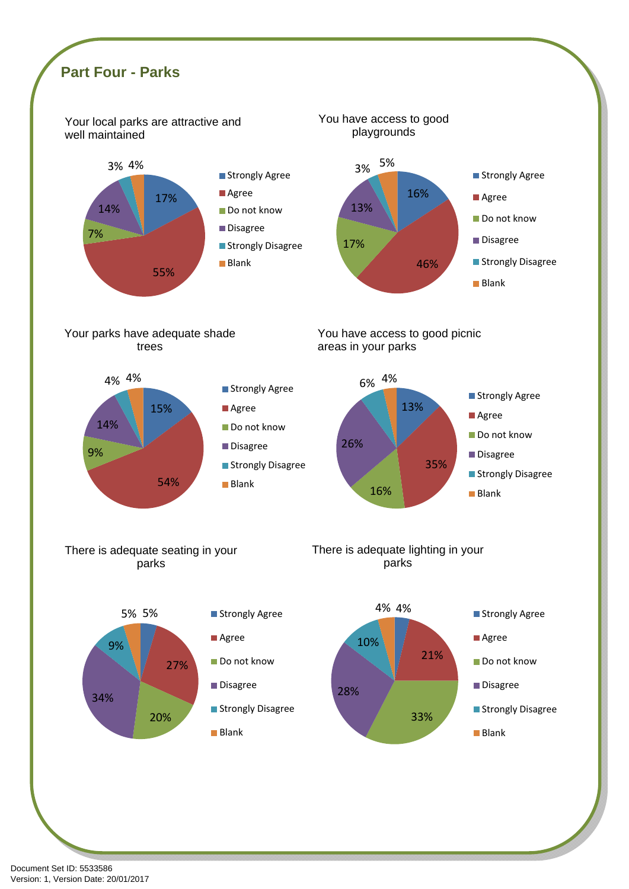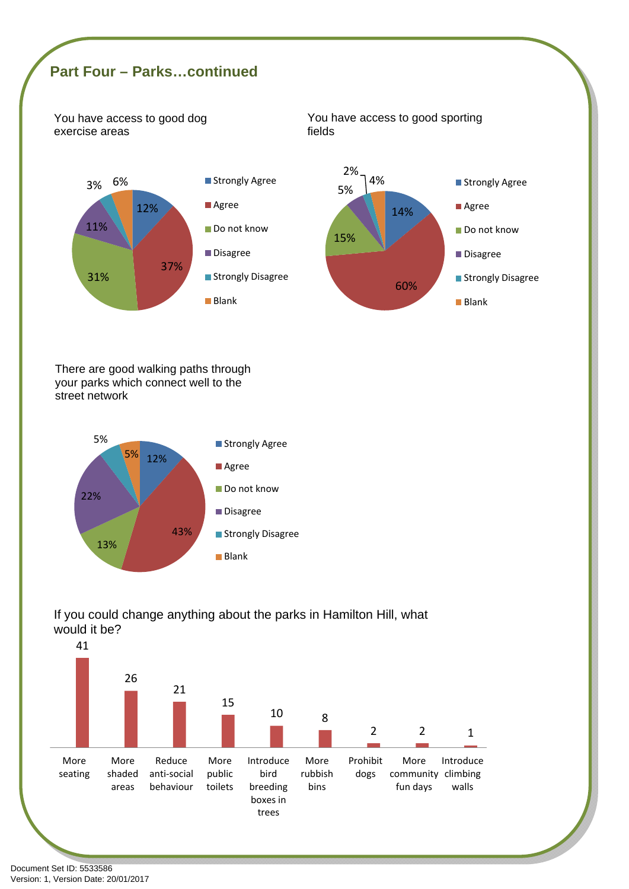## **Part Four – Parks…continued**

You have access to good dog exercise areas







There are good walking paths through your parks which connect well to the street network





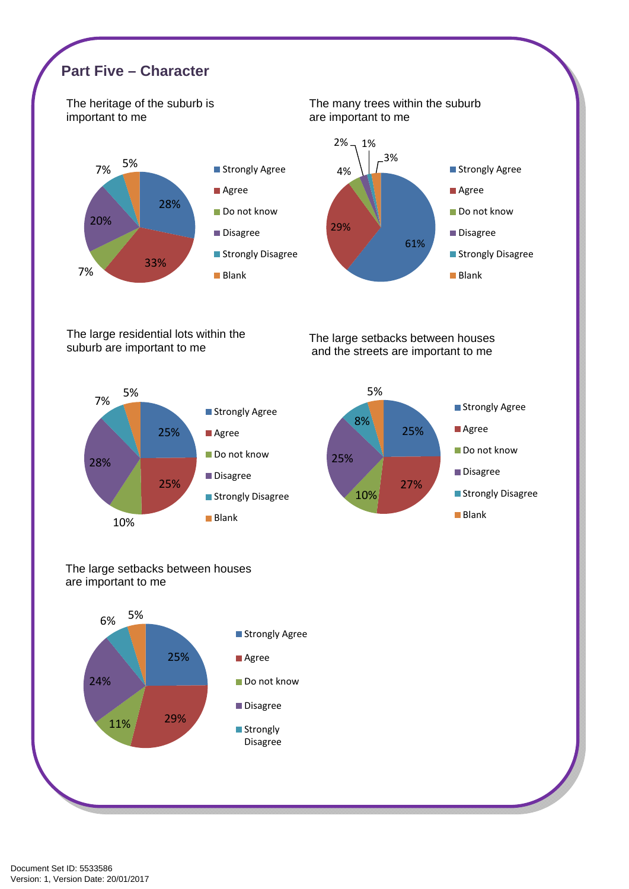

The large residential lots within the suburb are important to me

The large setbacks between houses and the streets are important to me





### The large setbacks between houses are important to me